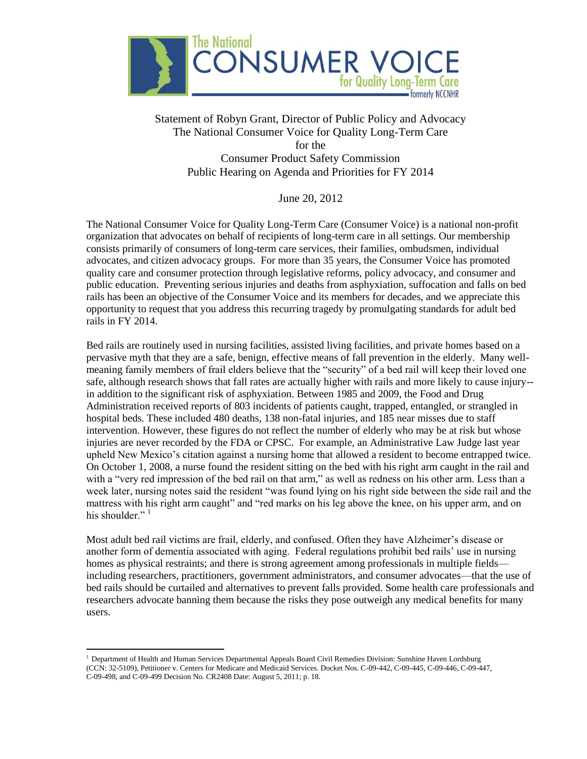

## Statement of Robyn Grant, Director of Public Policy and Advocacy The National Consumer Voice for Quality Long-Term Care for the Consumer Product Safety Commission Public Hearing on Agenda and Priorities for FY 2014

June 20, 2012

The National Consumer Voice for Quality Long-Term Care (Consumer Voice) is a national non-profit organization that advocates on behalf of recipients of long-term care in all settings. Our membership consists primarily of consumers of long-term care services, their families, ombudsmen, individual advocates, and citizen advocacy groups. For more than 35 years, the Consumer Voice has promoted quality care and consumer protection through legislative reforms, policy advocacy, and consumer and public education. Preventing serious injuries and deaths from asphyxiation, suffocation and falls on bed rails has been an objective of the Consumer Voice and its members for decades, and we appreciate this opportunity to request that you address this recurring tragedy by promulgating standards for adult bed rails in FY 2014.

Bed rails are routinely used in nursing facilities, assisted living facilities, and private homes based on a pervasive myth that they are a safe, benign, effective means of fall prevention in the elderly. Many wellmeaning family members of frail elders believe that the "security" of a bed rail will keep their loved one safe, although research shows that fall rates are actually higher with rails and more likely to cause injury- in addition to the significant risk of asphyxiation. Between 1985 and 2009, the Food and Drug Administration received reports of 803 incidents of patients caught, trapped, entangled, or strangled in hospital beds. These included 480 deaths, 138 non-fatal injuries, and 185 near misses due to staff intervention. However, these figures do not reflect the number of elderly who may be at risk but whose injuries are never recorded by the FDA or CPSC. For example, an Administrative Law Judge last year upheld New Mexico's citation against a nursing home that allowed a resident to become entrapped twice. On October 1, 2008, a nurse found the resident sitting on the bed with his right arm caught in the rail and with a "very red impression of the bed rail on that arm," as well as redness on his other arm. Less than a week later, nursing notes said the resident "was found lying on his right side between the side rail and the mattress with his right arm caught" and "red marks on his leg above the knee, on his upper arm, and on his shoulder." $1$ 

Most adult bed rail victims are frail, elderly, and confused. Often they have Alzheimer's disease or another form of dementia associated with aging. Federal regulations prohibit bed rails' use in nursing homes as physical restraints; and there is strong agreement among professionals in multiple fields including researchers, practitioners, government administrators, and consumer advocates—that the use of bed rails should be curtailed and alternatives to prevent falls provided. Some health care professionals and researchers advocate banning them because the risks they pose outweigh any medical benefits for many users.

 $\overline{a}$ 

<sup>&</sup>lt;sup>1</sup> Department of Health and Human Services Departmental Appeals Board Civil Remedies Division: Sunshine Haven Lordsburg (CCN: 32-5109), Petitioner v. Centers for Medicare and Medicaid Services. Docket Nos. C-09-442, C-09-445, C-09-446, C-09-447, C-09-498, and C-09-499 Decision No. CR2408 Date: August 5, 2011; p. 18.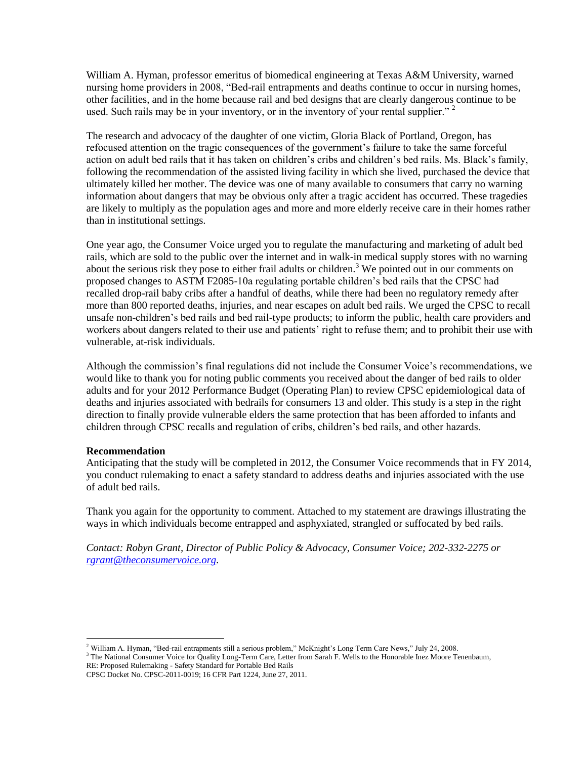William A. Hyman, professor emeritus of biomedical engineering at Texas A&M University, warned nursing home providers in 2008, "Bed-rail entrapments and deaths continue to occur in nursing homes, other facilities, and in the home because rail and bed designs that are clearly dangerous continue to be used. Such rails may be in your inventory, or in the inventory of your rental supplier."  $2^2$ 

The research and advocacy of the daughter of one victim, Gloria Black of Portland, Oregon, has refocused attention on the tragic consequences of the government's failure to take the same forceful action on adult bed rails that it has taken on children's cribs and children's bed rails. Ms. Black's family, following the recommendation of the assisted living facility in which she lived, purchased the device that ultimately killed her mother. The device was one of many available to consumers that carry no warning information about dangers that may be obvious only after a tragic accident has occurred. These tragedies are likely to multiply as the population ages and more and more elderly receive care in their homes rather than in institutional settings.

One year ago, the Consumer Voice urged you to regulate the manufacturing and marketing of adult bed rails, which are sold to the public over the internet and in walk-in medical supply stores with no warning about the serious risk they pose to either frail adults or children.<sup>3</sup> We pointed out in our comments on proposed changes to ASTM F2085-10a regulating portable children's bed rails that the CPSC had recalled drop-rail baby cribs after a handful of deaths, while there had been no regulatory remedy after more than 800 reported deaths, injuries, and near escapes on adult bed rails. We urged the CPSC to recall unsafe non-children's bed rails and bed rail-type products; to inform the public, health care providers and workers about dangers related to their use and patients' right to refuse them; and to prohibit their use with vulnerable, at-risk individuals.

Although the commission's final regulations did not include the Consumer Voice's recommendations, we would like to thank you for noting public comments you received about the danger of bed rails to older adults and for your 2012 Performance Budget (Operating Plan) to review CPSC epidemiological data of deaths and injuries associated with bedrails for consumers 13 and older. This study is a step in the right direction to finally provide vulnerable elders the same protection that has been afforded to infants and children through CPSC recalls and regulation of cribs, children's bed rails, and other hazards.

## **Recommendation**

Anticipating that the study will be completed in 2012, the Consumer Voice recommends that in FY 2014, you conduct rulemaking to enact a safety standard to address deaths and injuries associated with the use of adult bed rails.

Thank you again for the opportunity to comment. Attached to my statement are drawings illustrating the ways in which individuals become entrapped and asphyxiated, strangled or suffocated by bed rails.

*Contact: Robyn Grant, Director of Public Policy & Advocacy, Consumer Voice; 202-332-2275 or [rgrant@theconsumervoice.org.](mailto:rgrant@theconsumervoice.org)* 

 $\overline{a}$ <sup>2</sup> William A. Hyman, "Bed-rail entrapments still a serious problem," McKnight's Long Term Care News," July 24, 2008.

<sup>&</sup>lt;sup>3</sup> The National Consumer Voice for Quality Long-Term Care, Letter from Sarah F. Wells to the Honorable Inez Moore Tenenbaum, RE: Proposed Rulemaking - Safety Standard for Portable Bed Rails

CPSC Docket No. CPSC-2011-0019; 16 CFR Part 1224, June 27, 2011.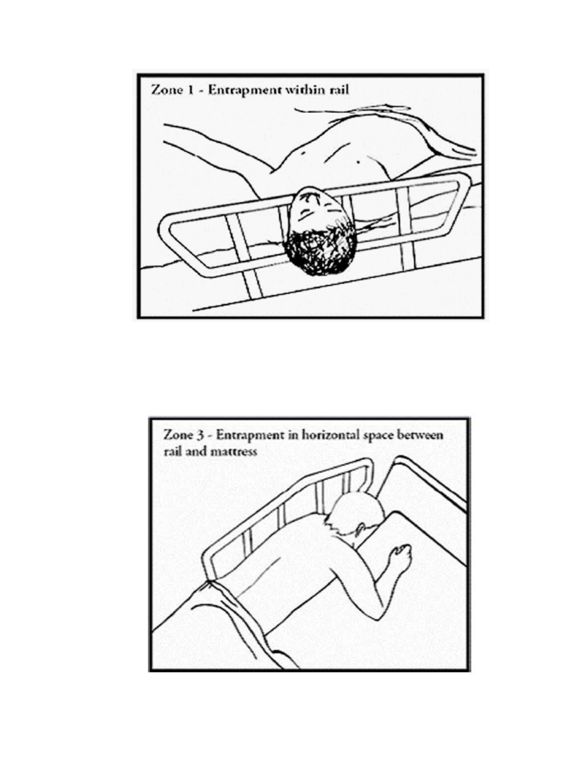